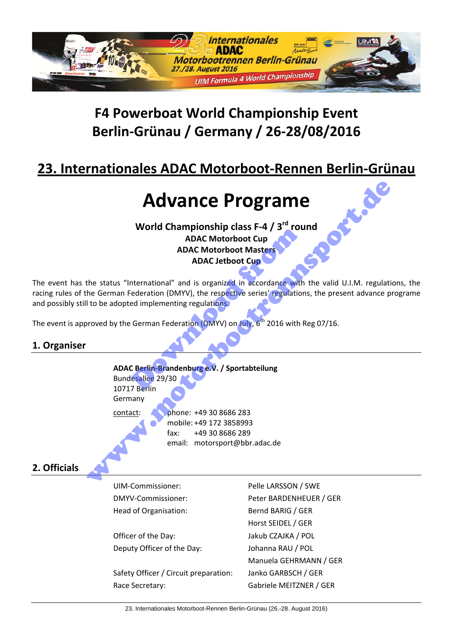

# **F4 Powerboat World Championship Event Berlin‐Grünau / Germany / 26‐28/08/2016**

# **23. Internationales ADAC Motorboot‐Rennen Berlin‐Grünau**

# **Advance Programe**

**World Championship class F‐4 / 3rd round ADAC Motorboot Cup ADAC Motorboot Masters ADAC Jetboot Cup**  MDAC Motorboot Cup<br>
ADAC Motorboot Masters<br>
ADAC Jetboot Cup<br>
METRIMAC Jetboot Cup<br>
International" and is organized in accordance with<br>
Federation (DMYV), the respective series' regulation<br>
Exergence of implementing regula

The event has the status "International" and is organized in accordance with the valid U.I.M. regulations, the racing rules of the German Federation (DMYV), the respective series' regulations, the present advance programe and possibly still to be adopted implementing regulations.

The event is approved by the German Federation (DMYV) on July,  $6<sup>th</sup>$  2016 with Reg 07/16.

## **1. Organiser**

**ADAC Berlin‐Brandenburg e.V. / Sportabteilung** Bundesallee 29/30 10717 Berlin Germany contact: phone: +49 30 8686 283 mobile: +49 172 3858993 fax: +49 30 8686 289 email: motorsport@bbr.adac.de Manne Programe<br>
World Championship class F-4 / 3<sup>rd</sup> round<br>
ADAC Motorboot Cup<br>
ADAC Motorboot Masters<br>
the status "international" and is organized in accordance with the valid U.I.M. regulation<br>
the German Federation (DMY

## **2. Officials**

| UIM-Commissioner:                     | Pelle LARSSON / SWE     |
|---------------------------------------|-------------------------|
| DMYV-Commissioner:                    | Peter BARDENHEUER / GER |
| Head of Organisation:                 | Bernd BARIG / GER       |
|                                       | Horst SEIDEL / GER      |
| Officer of the Day:                   | Jakub CZAJKA / POL      |
| Deputy Officer of the Day:            | Johanna RAU / POL       |
|                                       | Manuela GEHRMANN / GER  |
| Safety Officer / Circuit preparation: | Janko GARBSCH / GER     |
| Race Secretary:                       | Gabriele MEITZNER / GER |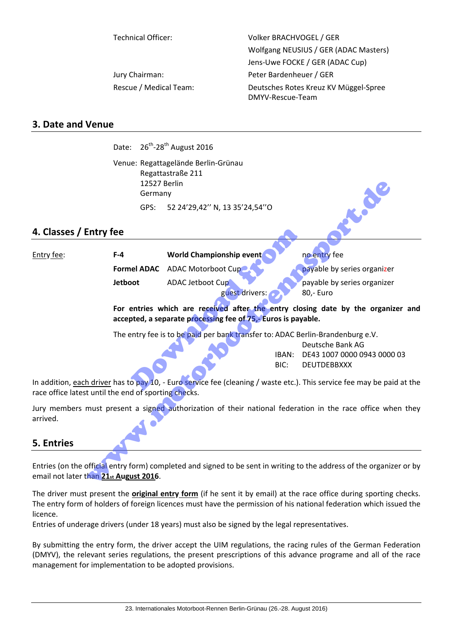Technical Officer: Volker BRACHVOGEL / GER Wolfgang NEUSIUS / GER (ADAC Masters) Jens‐Uwe FOCKE / GER (ADAC Cup) Jury Chairman: The Chairman Peter Bardenheuer / GER Rescue / Medical Team: Deutsches Rotes Kreuz KV Müggel-Spree DMYV‐Rescue‐Team

## **3. Date and Venue**

Date:  $26^{th}$ -28<sup>th</sup> August 2016

Venue: Regattagelände Berlin‐Grünau Regattastraße 211 12527 Berlin Germany GPS: 52 24'29,42'' N, 13 35'24,54''O

## **4. Classes / Entry fee**

|                                                      | 12527 Berlin<br>Germany                                                                                                                          |                                                                                |               |                                                                                                                         |  |
|------------------------------------------------------|--------------------------------------------------------------------------------------------------------------------------------------------------|--------------------------------------------------------------------------------|---------------|-------------------------------------------------------------------------------------------------------------------------|--|
|                                                      | GPS:                                                                                                                                             | 52 24'29,42" N, 13 35'24,54"O                                                  |               |                                                                                                                         |  |
| 4. Classes / Entry fee                               |                                                                                                                                                  |                                                                                |               |                                                                                                                         |  |
| Entry fee:                                           | $F-4$                                                                                                                                            | World Championship event                                                       |               | no entry fee                                                                                                            |  |
|                                                      | <b>Formel ADAC</b>                                                                                                                               | <b>ADAC Motorboot Cup</b>                                                      |               | payable by series organizer                                                                                             |  |
|                                                      | Jetboot                                                                                                                                          | ADAC Jetboot Cup<br>guest drivers:                                             |               | payable by series organizer<br>80,- Euro                                                                                |  |
|                                                      | For entries which are received after the entry closing date by the organizer an<br>accepted, a separate processing fee of 75,- Euros is payable. |                                                                                |               |                                                                                                                         |  |
|                                                      |                                                                                                                                                  | The entry fee is to be paid per bank transfer to: ADAC Berlin-Brandenburg e.V. | IBAN:<br>BIC: | Deutsche Bank AG<br>DE43 1007 0000 0943 0000 03<br><b>DEUTDEBBXXX</b>                                                   |  |
| race office latest until the end of sporting checks. |                                                                                                                                                  |                                                                                |               | In addition, each driver has to pay 10, - Euro service fee (cleaning / waste etc.). This service fee may be paid at the |  |
| arrived.                                             |                                                                                                                                                  |                                                                                |               | Jury members must present a signed authorization of their national federation in the race office when the               |  |
| <b>5. Entries</b>                                    |                                                                                                                                                  |                                                                                |               |                                                                                                                         |  |
| email not later than 21st August 2016.               |                                                                                                                                                  |                                                                                |               | Entries (on the official entry form) completed and signed to be sent in writing to the address of the organizer or b    |  |

## **5. Entries**

The driver must present the **original entry form** (if he sent it by email) at the race office during sporting checks. The entry form of holders of foreign licences must have the permission of his national federation which issued the licence.

Entries of underage drivers (under 18 years) must also be signed by the legal representatives.

By submitting the entry form, the driver accept the UIM regulations, the racing rules of the German Federation (DMYV), the relevant series regulations, the present prescriptions of this advance programe and all of the race management for implementation to be adopted provisions.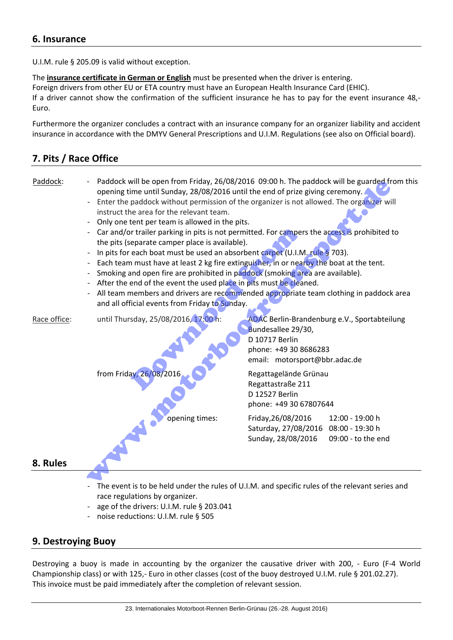## **6. Insurance**

U.I.M. rule § 205.09 is valid without exception.

The **insurance certificate in German or English** must be presented when the driver is entering. Foreign drivers from other EU or ETA country must have an European Health Insurance Card (EHIC). If a driver cannot show the confirmation of the sufficient insurance he has to pay for the event insurance 48,‐ Euro.

Furthermore the organizer concludes a contract with an insurance company for an organizer liability and accident insurance in accordance with the DMYV General Prescriptions and U.I.M. Regulations (see also on Official board).

## **7. Pits / Race Office**



- The event is to be held under the rules of U.I.M. and specific rules of the relevant series and race regulations by organizer.
- age of the drivers: U.I.M. rule § 203.041
- ‐ noise reductions: U.I.M. rule § 505

## **9. Destroying Buoy**

Destroying a buoy is made in accounting by the organizer the causative driver with 200, - Euro (F-4 World Championship class) or with 125,‐ Euro in other classes (cost of the buoy destroyed U.I.M. rule § 201.02.27). This invoice must be paid immediately after the completion of relevant session.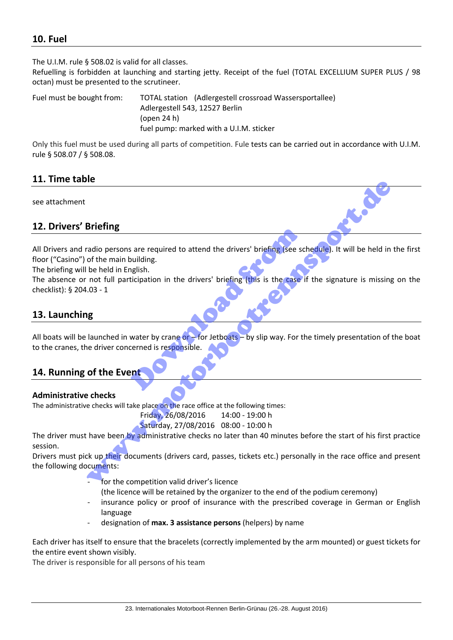## **10. Fuel**

The U.I.M. rule § 508.02 is valid for all classes.

Refuelling is forbidden at launching and starting jetty. Receipt of the fuel (TOTAL EXCELLIUM SUPER PLUS / 98 octan) must be presented to the scrutineer.

Fuel must be bought from: TOTAL station (Adlergestell crossroad Wassersportallee) Adlergestell 543, 12527 Berlin (open 24 h) fuel pump: marked with a U.I.M. sticker

Only this fuel must be used during all parts of competition. Fule tests can be carried out in accordance with U.I.M. rule § 508.07 / § 508.08.

## **11. Time table**

see attachment

## **12. Drivers' Briefing**

All Drivers and radio persons are required to attend the drivers' briefing (see schedule). It will be held in the first floor ("Casino") of the main building.

The briefing will be held in English.

The absence or not full participation in the drivers' briefing (this is the case if the signature is missing on the checklist): § 204.03 ‐ 1

## **13. Launching**

All boats will be launched in water by crane or – for Jetboats – by slip way. For the timely presentation of the boat to the cranes, the driver concerned is responsible. S are required to attend the drivers' briefing (see so<br>
building.<br>
Iticipation in the drivers' briefing (this is the case)<br>
Water by crane or - for Jetboats - by slip way. For the<br>
Lerned is responsible. Briefing<br>Briefing<br>tradio persons are required to attend the drivers' briefing (see schedule). It will be held in<br>the held in English.<br>In the fluid participation in the drivers' briefing (this is the case if the signature i

## **14. Running of the Event**

### **Administrative checks**

The administrative checks will take place on the race office at the following times:

Friday, 26/08/2016 14:00 ‐ 19:00 h Saturday, 27/08/2016 08:00 ‐ 10:00 h

The driver must have been by administrative checks no later than 40 minutes before the start of his first practice session.

Drivers must pick up their documents (drivers card, passes, tickets etc.) personally in the race office and present the following documents:

- for the competition valid driver's licence
	- (the licence will be retained by the organizer to the end of the podium ceremony)
- insurance policy or proof of insurance with the prescribed coverage in German or English language
- ‐ designation of **max. 3 assistance persons** (helpers) by name

Each driver has itself to ensure that the bracelets (correctly implemented by the arm mounted) or guest tickets for the entire event shown visibly.

The driver is responsible for all persons of his team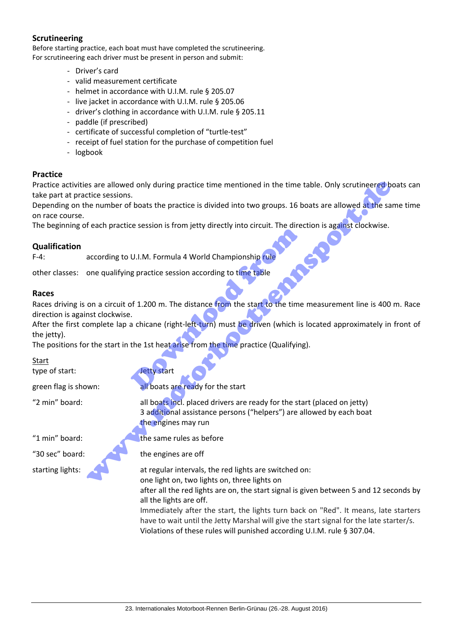### **Scrutineering**

Before starting practice, each boat must have completed the scrutineering. For scrutineering each driver must be present in person and submit:

- ‐ Driver's card
- ‐ valid measurement certificate
- ‐ helmet in accordance with U.I.M. rule § 205.07
- ‐ live jacket in accordance with U.I.M. rule § 205.06
- ‐ driver's clothing in accordance with U.I.M. rule § 205.11
- ‐ paddle (if prescribed)
- ‐ certificate of successful completion of "turtle‐test"
- ‐ receipt of fuel station for the purchase of competition fuel
- ‐ logbook

#### **Practice**

Practice activities are allowed only during practice time mentioned in the time table. Only scrutineered boats can take part at practice sessions.

Depending on the number of boats the practice is divided into two groups. 16 boats are allowed at the same time on race course. es are allowed only during practice time mentioned in the time table. Only scrutine<br>ered be number of boats the practice is divided into two groups. 16 boats are allowed at the same<br>order of each practice session is from j

The beginning of each practice session is from jetty directly into circuit. The direction is against clockwise.

#### **Qualification**

F-4: according to U.I.M. Formula 4 World Championship rule

other classes: one qualifying practice session according to time table

#### **Races**

Races driving is on a circuit of 1.200 m. The distance from the start to the time measurement line is 400 m. Race direction is against clockwise. U.I.M. Formula 4 World Championship rule<br>g practice session according to time table<br>of 1.200 m. The distance from the start to the time<br>a chicane (right-left-turn) must be driven (which is<br>the 1st heat arise from the time

After the first complete lap a chicane (right-left-turn) must be driven (which is located approximately in front of the jetty).

The positions for the start in the 1st heat arise from the time practice (Qualifying).

Start

type of start: Start and Start and Jetty start

green flag is shown: all boats are ready for the start

"2 min" board: all boats incl. placed drivers are ready for the start (placed on jetty)

3 additional assistance persons ("helpers") are allowed by each boat the engines may run

"1 min" board: **the same rules as before** 

"30 sec" board:  $\bullet$  the engines are off

starting lights: at regular intervals, the red lights are switched on:

one light on, two lights on, three lights on

after all the red lights are on, the start signal is given between 5 and 12 seconds by all the lights are off.

Immediately after the start, the lights turn back on "Red". It means, late starters have to wait until the Jetty Marshal will give the start signal for the late starter/s. Violations of these rules will punished according U.I.M. rule § 307.04.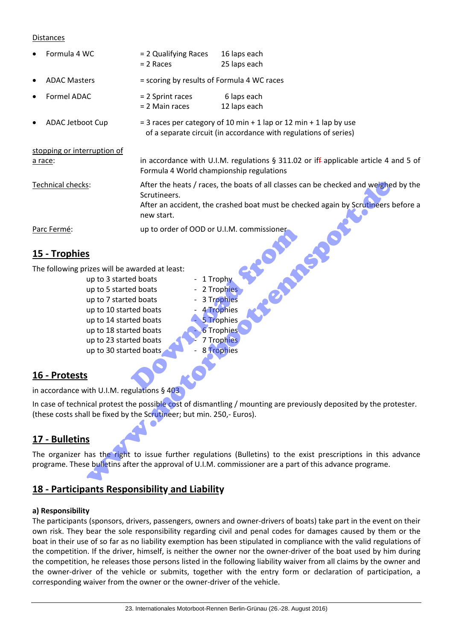#### Distances

| Formula 4 WC                                                                                                                                                                                                                                                | = 2 Qualifying Races<br>$= 2$ Races        | 16 laps each<br>25 laps each                                                                                                                                             |  |
|-------------------------------------------------------------------------------------------------------------------------------------------------------------------------------------------------------------------------------------------------------------|--------------------------------------------|--------------------------------------------------------------------------------------------------------------------------------------------------------------------------|--|
| <b>ADAC Masters</b>                                                                                                                                                                                                                                         | = scoring by results of Formula 4 WC races |                                                                                                                                                                          |  |
| <b>Formel ADAC</b>                                                                                                                                                                                                                                          | = 2 Sprint races<br>= 2 Main races         | 6 laps each<br>12 laps each                                                                                                                                              |  |
| ADAC Jetboot Cup                                                                                                                                                                                                                                            |                                            | $=$ 3 races per category of 10 min + 1 lap or 12 min + 1 lap by use<br>of a separate circuit (in accordance with regulations of series)                                  |  |
| stopping or interruption of                                                                                                                                                                                                                                 |                                            |                                                                                                                                                                          |  |
| a race:                                                                                                                                                                                                                                                     | Formula 4 World championship regulations   | in accordance with U.I.M. regulations $\S$ 311.02 or iff applicable article 4 and 5 of                                                                                   |  |
| Technical checks:                                                                                                                                                                                                                                           | Scrutineers.<br>new start.                 | After the heats / races, the boats of all classes can be checked and weighed by the<br>After an accident, the crashed boat must be checked again by Scrutineers before a |  |
| Parc Fermé:                                                                                                                                                                                                                                                 | up to order of OOD or U.I.M. commissioner  |                                                                                                                                                                          |  |
| 15 - Trophies                                                                                                                                                                                                                                               |                                            |                                                                                                                                                                          |  |
| The following prizes will be awarded at least:<br>up to 3 started boats<br>up to 5 started boats<br>up to 7 started boats<br>up to 10 started boats<br>up to 14 started boats<br>up to 18 started boats<br>up to 23 started boats<br>up to 30 started boats | 1 Trophy                                   | 2 Trophies<br>3 Trophies<br>4 Trophies<br>5 Trophies<br><b>6 Trophies</b><br>7 Trophies<br><b>8 Trophies</b>                                                             |  |
| 16 - Protests                                                                                                                                                                                                                                               |                                            |                                                                                                                                                                          |  |
| in accordance with U.I.M. regulations § 403                                                                                                                                                                                                                 |                                            |                                                                                                                                                                          |  |
| (these costs shall be fixed by the Scrutineer; but min. 250,- Euros).<br>17 - Bulletins                                                                                                                                                                     |                                            | In case of technical protest the possible cost of dismantling / mounting are previously deposited by the protester.                                                      |  |
| The organizer has the right to issue further regulations (Bulletins) to the exist prescriptions in this advance<br>programe. These bulletins after the approval of U.I.M. commissioner are a part of this advance programe.                                 |                                            |                                                                                                                                                                          |  |

## **15 ‐ Trophies**

- Parc Fermé:<br>
15 Trophies<br>
The following prizes will be awarded at least:<br>
up to 3 started boats<br>
up to 5 started boats<br>
up to 10 started boats<br>
up to 10 started boats<br>
up to 14 started boats<br>
up to 18 started boats<br>
up t up to 3 started boats ‐ 1 Trophy up to 5 started boats ‐ 2 Trophies up to 7 started boats ‐ 3 Trophies up to 10 started boats  $\overline{a}$  - 4 Trophies up to 14 started boats  **<b>6** S Trophies up to 18 started boats **6 Trophies** up to 23 started boats **ALCO** 7 Trophies up to 30 started boats  $\sim$   $\sim$  8 Trophies
	-
	-
	-

# **16 ‐ Protests**

# **17 ‐ Bulletins**

# **18 ‐ Participants Responsibility and Liability**

### **a) Responsibility**

The participants (sponsors, drivers, passengers, owners and owner‐drivers of boats) take part in the event on their own risk. They bear the sole responsibility regarding civil and penal codes for damages caused by them or the boat in their use of so far as no liability exemption has been stipulated in compliance with the valid regulations of the competition. If the driver, himself, is neither the owner nor the owner-driver of the boat used by him during the competition, he releases those persons listed in the following liability waiver from all claims by the owner and the owner-driver of the vehicle or submits, together with the entry form or declaration of participation, a corresponding waiver from the owner or the owner‐driver of the vehicle.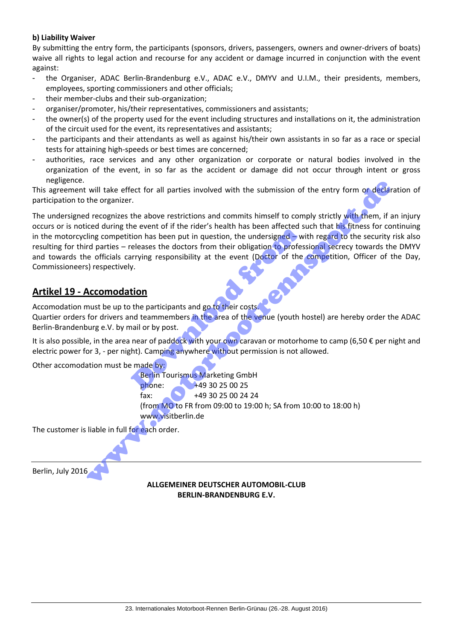#### **b) Liability Waiver**

By submitting the entry form, the participants (sponsors, drivers, passengers, owners and owner‐drivers of boats) waive all rights to legal action and recourse for any accident or damage incurred in conjunction with the event against:

- the Organiser, ADAC Berlin-Brandenburg e.V., ADAC e.V., DMYV and U.I.M., their presidents, members, employees, sporting commissioners and other officials;
- their member-clubs and their sub-organization;
- organiser/promoter, his/their representatives, commissioners and assistants;
- the owner(s) of the property used for the event including structures and installations on it, the administration of the circuit used for the event, its representatives and assistants;
- the participants and their attendants as well as against his/their own assistants in so far as a race or special tests for attaining high‐speeds or best times are concerned;
- authorities, race services and any other organization or corporate or natural bodies involved in the organization of the event, in so far as the accident or damage did not occur through intent or gross negligence.

This agreement will take effect for all parties involved with the submission of the entry form or declaration of participation to the organizer.

The undersigned recognizes the above restrictions and commits himself to comply strictly with them, if an injury occurs or is noticed during the event of if the rider's health has been affected such that his fitness for continuing in the motorcycling competition has been put in question, the undersigned – with regard to the security risk also resulting for third parties – releases the doctors from their obligation to professional secrecy towards the DMYV and towards the officials carrying responsibility at the event (Doctor of the competition, Officer of the Day, Commissioneers) respectively. The event of it the Hack Shealth has been anceted 3<br>
tion has been put in question, the undersigned – w<br>
releases the doctors from their obligation to profes<br>
arrying responsibility at the event (Doctor of the<br>
y.<br> **the pa** will take effect for all parties involved with the submission of the entry form or declare<br>the organizer.<br>He recognizes the above restrictions and commits himself to comply strictly with them, if<br>it recognizes the above r

## **Artikel 19 ‐ Accomodation**

Accomodation must be up to the participants and go to their costs.

Quartier orders for drivers and teammembers in the area of the venue (youth hostel) are hereby order the ADAC Berlin‐Brandenburg e.V. by mail or by post.

It is also possible, in the area near of paddock with your own caravan or motorhome to camp (6,50  $\epsilon$  per night and electric power for 3, - per night). Camping anywhere without permission is not allowed.

Other accomodation must be made by:

 Berlin Tourismus Marketing GmbH phone: +49 30 25 00 25 fax: +49 30 25 00 24 24 (from MO to FR from 09:00 to 19:00 h; SA from 10:00 to 18:00 h) www.visitberlin.de

The customer is liable in full for each order.

Berlin, July 2016

#### **ALLGEMEINER DEUTSCHER AUTOMOBIL‐CLUB BERLIN‐BRANDENBURG E.V.**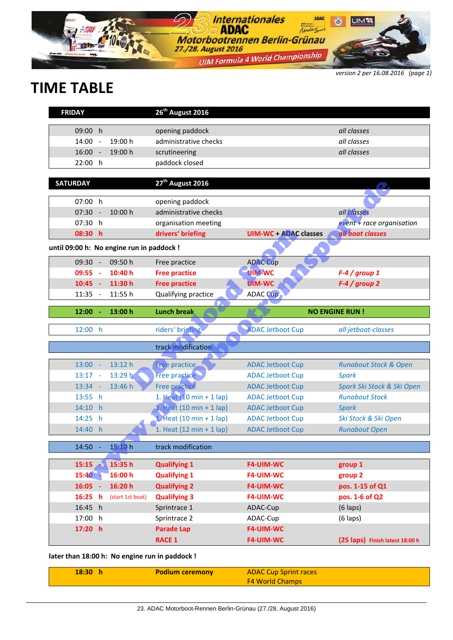

*version 2 per 16.08.2016 (page 1)*

# **TIME TABLE**

| <b>FRIDAY</b>                             |                          |                  | 26 <sup>th</sup> August 2016               |                              |                                  |
|-------------------------------------------|--------------------------|------------------|--------------------------------------------|------------------------------|----------------------------------|
| 09:00 h                                   |                          |                  | opening paddock                            |                              | all classes                      |
| 14:00                                     |                          | 19:00 h          | administrative checks                      |                              | all classes                      |
| 16:00                                     | $\overline{\phantom{a}}$ |                  |                                            |                              |                                  |
|                                           | $\sim$                   | 19:00 h          | scrutineering                              |                              | all classes                      |
| 22:00 h                                   |                          |                  | paddock closed                             |                              |                                  |
| <b>SATURDAY</b>                           |                          |                  | 27 <sup>th</sup> August 2016               |                              |                                  |
|                                           |                          |                  |                                            |                              |                                  |
| 07:00 h                                   |                          |                  | opening paddock                            |                              |                                  |
| 07:30                                     | $\overline{\phantom{a}}$ | 10:00 h          | administrative checks                      |                              | all classes                      |
| 07:30 h                                   |                          |                  | organisation meeting                       |                              | $event + race$ organisation      |
| 08:30 h                                   |                          |                  | drivers' briefing                          | <b>UIM-WC + ADAC classes</b> | all boat classes                 |
| until 09:00 h: No engine run in paddock ! |                          |                  |                                            |                              |                                  |
| 09:30                                     | $\overline{\phantom{a}}$ | 09:50h           | Free practice                              | <b>ADAC Cup</b>              |                                  |
| 09:55                                     | - 4                      | 10:40 h          | <b>Free practice</b>                       | <b>UIM-WC</b>                | $F-4$ / group 1                  |
| $10:45 -$                                 |                          | 11:30 h          | <b>Free practice</b>                       | <b>UIM-WC</b>                | $F-4$ / group 2                  |
| 11:35                                     | $\sim$                   | 11:55 h          | Qualifying practice                        | <b>ADAC Cup</b>              |                                  |
|                                           |                          |                  |                                            |                              |                                  |
| 12:00                                     | - 1                      | 13:00 h          | <b>Lunch break</b>                         |                              | <b>NO ENGINE RUN!</b>            |
| 12:00 h                                   |                          |                  | riders' briefing                           | <b>ADAC Jetboot Cup</b>      | all jetboat-classes              |
|                                           |                          |                  |                                            |                              |                                  |
|                                           |                          |                  | track modification                         |                              |                                  |
| 13:00                                     | $\sim$                   | 13:12 h          | Free practice                              | <b>ADAC Jetboot Cup</b>      | <b>Runabout Stock &amp; Open</b> |
| $13:17 -$                                 |                          | 13:29 h          | Free practice                              | <b>ADAC Jetboot Cup</b>      | <b>Spark</b>                     |
| $13:34 -$                                 |                          | 13:46 h          | <b>Free practice</b>                       | <b>ADAC Jetboot Cup</b>      | Spark Ski Stock & Ski Open       |
| 13:55 h                                   |                          |                  | 1. Heat (10 min + 1 lap)                   | <b>ADAC Jetboot Cup</b>      | <b>Runabout Stock</b>            |
| 14:10 h                                   |                          |                  | 1. Heat $(10 \text{ min} + 1 \text{ lap})$ | <b>ADAC Jetboot Cup</b>      | <b>Spark</b>                     |
| 14:25 h                                   |                          |                  | 1. Heat $(10 \text{ min} + 1 \text{ lap})$ | <b>ADAC Jetboot Cup</b>      | Ski Stock & Ski Open             |
| 14:40 h                                   |                          |                  | 1. Heat $(12 \text{ min} + 1 \text{ lap})$ | <b>ADAC Jetboot Cup</b>      | <b>Runabout Open</b>             |
|                                           |                          |                  |                                            |                              |                                  |
| 14:50                                     |                          | 15:10 h          | track modification                         |                              |                                  |
| $15:15 -$                                 |                          | 15:35 h          | <b>Qualifying 1</b>                        | <b>F4-UIM-WC</b>             | group 1                          |
| $15:40 -$                                 |                          | 16:00 h          | <b>Qualifying 1</b>                        | <b>F4-UIM-WC</b>             | group 2                          |
| $16:05 -$                                 |                          | 16:20 h          | <b>Qualifying 2</b>                        | <b>F4-UIM-WC</b>             | pos. 1-15 of Q1                  |
| 16:25                                     | <b>h</b>                 | (start 1st boat) | <b>Qualifying 3</b>                        | <b>F4-UIM-WC</b>             | pos. 1-6 of Q2                   |
| 16:45 h                                   |                          |                  | Sprintrace 1                               | ADAC-Cup                     | $(6$ laps)                       |
| 17:00 h                                   |                          |                  | Sprintrace 2                               | ADAC-Cup                     | $(6$ laps)                       |
| 17:20 h                                   |                          |                  | <b>Parade Lap</b>                          | <b>F4-UIM-WC</b>             |                                  |
|                                           |                          |                  | <b>RACE 1</b>                              | <b>F4-UIM-WC</b>             | (25 laps) Finish latest 18:00 h  |
|                                           |                          |                  |                                            |                              |                                  |

**later than 18:00 h: No engine run in paddock !** 

| 18:30 | <b>Podium ceremony</b> | <b>ADAC Cup Sprint races</b> |
|-------|------------------------|------------------------------|
|       |                        | <b>F4 World Champs</b>       |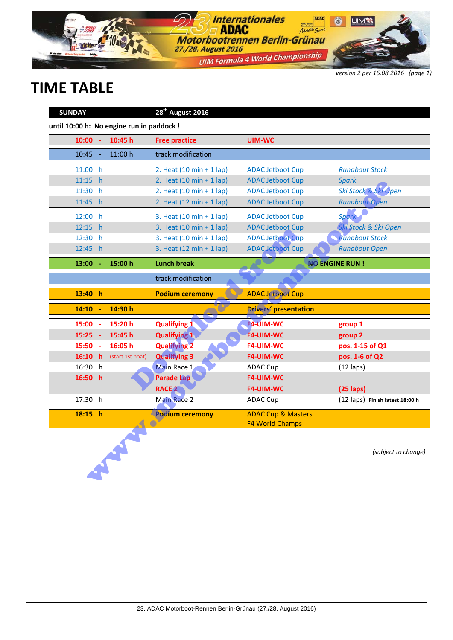

*version 2 per 16.08.2016 (page 1)*

# **TIME TABLE**

| <b>SUNDAY</b>                             |    |                  | 28 <sup>th</sup> August 2016               |                                                         |                                 |
|-------------------------------------------|----|------------------|--------------------------------------------|---------------------------------------------------------|---------------------------------|
| until 10:00 h: No engine run in paddock ! |    |                  |                                            |                                                         |                                 |
| $10:00 -$                                 |    | 10:45 h          | <b>Free practice</b>                       | <b>UIM-WC</b>                                           |                                 |
| 10:45                                     |    | 11:00 h          | track modification                         |                                                         |                                 |
| 11:00 h                                   |    |                  | 2. Heat $(10 \text{ min} + 1 \text{ lap})$ | <b>ADAC Jetboot Cup</b>                                 | <b>Runabout Stock</b>           |
| 11:15 h                                   |    |                  | 2. Heat $(10 \text{ min} + 1 \text{ lap})$ | <b>ADAC Jetboot Cup</b>                                 | <b>Spark</b>                    |
| 11:30 h                                   |    |                  | 2. Heat $(10 \text{ min} + 1 \text{ lap})$ | <b>ADAC Jetboot Cup</b>                                 | Ski Stock & Ski Open            |
| 11:45 h                                   |    |                  | 2. Heat $(12 \text{ min} + 1 \text{ lap})$ | <b>ADAC Jetboot Cup</b>                                 | <b>Runabout Open</b>            |
| 12:00 h                                   |    |                  | 3. Heat $(10 \text{ min} + 1 \text{ lap})$ | <b>ADAC Jetboot Cup</b>                                 | <b>Spark</b>                    |
| 12:15 h                                   |    |                  | 3. Heat $(10 \text{ min} + 1 \text{ lap})$ | <b>ADAC Jetboot Cup</b>                                 | Ski Stock & Ski Open            |
| 12:30 h                                   |    |                  | 3. Heat $(10 \text{ min} + 1 \text{ lap})$ | <b>ADAC Jetboot Cup</b>                                 | <b>Runabout Stock</b>           |
| 12:45 h                                   |    |                  | 3. Heat $(12 \text{ min} + 1 \text{ lap})$ | <b>ADAC Jetboot Cup</b>                                 | <b>Runabout Open</b>            |
| 13:00                                     |    | 15:00 h          | <b>Lunch break</b>                         |                                                         | <b>NO ENGINE RUN!</b>           |
|                                           |    |                  | track modification                         |                                                         |                                 |
| 13:40 h                                   |    |                  | <b>Podium ceremony</b>                     | <b>ADAC Jetboot Cup</b>                                 |                                 |
| 14:10                                     | ÷. | 14:30 h          |                                            | <b>Drivers' presentation</b>                            |                                 |
| 15:00 -                                   |    | 15:20 h          | <b>Qualifying 1</b>                        | <b>F4-UIM-WC</b>                                        | group 1                         |
| $15:25 -$                                 |    | 15:45 h          | <b>Qualifying 1</b>                        | <b>F4-UIM-WC</b>                                        | group 2                         |
| $15:50 -$                                 |    | 16:05h           | <b>Qualifying 2</b>                        | <b>F4-UIM-WC</b>                                        | pos. 1-15 of Q1                 |
| 16:10 h                                   |    | (start 1st boat) | <b>Qualifying 3</b>                        | F4-UIM-WC                                               | pos. 1-6 of Q2                  |
| 16:30 h                                   |    |                  | Main Race 1                                | <b>ADAC Cup</b>                                         | $(12$ laps)                     |
| 16:50 h                                   |    |                  | <b>Parade Lap</b>                          | <b>F4-UIM-WC</b>                                        |                                 |
|                                           |    |                  | RACE <sub>2</sub>                          | <b>F4-UIM-WC</b>                                        | $(25$ laps)                     |
| 17:30 h                                   |    |                  | <b>Main Race 2</b>                         | <b>ADAC Cup</b>                                         | (12 laps) Finish latest 18:00 h |
| 18:15 h                                   |    |                  | <b>Podium ceremony</b>                     | <b>ADAC Cup &amp; Masters</b><br><b>F4 World Champs</b> |                                 |
|                                           |    |                  |                                            |                                                         | (subject to change)             |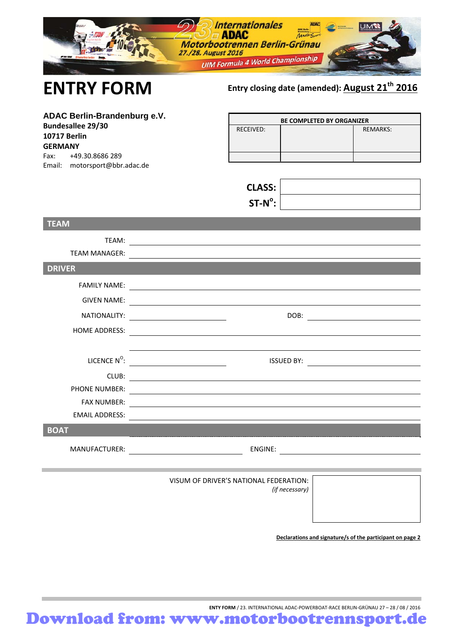|                                                                                                                                                               | <b>Internationales</b><br>$\mathcal{D}$ and $\mathbf{C}$<br>Motorbootrennen Berlin-Grünau<br>27./28. August 2016<br><b>UIM Formula 4 World Championship</b>                                                                          |
|---------------------------------------------------------------------------------------------------------------------------------------------------------------|--------------------------------------------------------------------------------------------------------------------------------------------------------------------------------------------------------------------------------------|
| <b>ENTRY FORM</b>                                                                                                                                             | Entry closing date (amended): August 21 <sup>th</sup> 2016                                                                                                                                                                           |
| ADAC Berlin-Brandenburg e.V.<br><b>Bundesallee 29/30</b><br><b>10717 Berlin</b><br><b>GERMANY</b><br>Fax:<br>+49.30.8686 289<br>Email: motorsport@bbr.adac.de | BE COMPLETED BY ORGANIZER<br><b>RECEIVED:</b><br><b>REMARKS:</b><br><b>CLASS:</b><br>$ST-N^{\circ}$ :                                                                                                                                |
| <b>TEAM</b>                                                                                                                                                   |                                                                                                                                                                                                                                      |
| TEAM:<br><b>TEAM MANAGER:</b>                                                                                                                                 |                                                                                                                                                                                                                                      |
| <b>DRIVER</b>                                                                                                                                                 |                                                                                                                                                                                                                                      |
| <b>FAMILY NAME:</b>                                                                                                                                           | <u> 1989 - Andrea Stadt, fransk politik (d. 1989)</u>                                                                                                                                                                                |
|                                                                                                                                                               |                                                                                                                                                                                                                                      |
| NATIONALITY:                                                                                                                                                  | DOB:<br><u> 1980 - Andrea State Barbara, poeta esp</u><br><u> 1980 - Jan Samuel Barbara, politik eta politik eta politik eta politik eta politik eta politik eta politik e</u>                                                       |
| <b>HOME ADDRESS:</b>                                                                                                                                          | <u>and the company of the company of the company of the company of the company of the company of the company of the company of the company of the company of the company of the company of the company of the company of the com</u> |
| LICENCE $N^0$ :                                                                                                                                               | ISSUED BY: <u>______________________</u>                                                                                                                                                                                             |
| CLUB:                                                                                                                                                         |                                                                                                                                                                                                                                      |
| PHONE NUMBER:                                                                                                                                                 | <u> 1980 - John Stein, Amerikaansk politiker († 1950)</u>                                                                                                                                                                            |
| <b>FAX NUMBER:</b>                                                                                                                                            | <u> 1980 - Johann Stoff, deutscher Stoff, der Stoff, der Stoff, der Stoff, der Stoff, der Stoff, der Stoff, der S</u>                                                                                                                |
|                                                                                                                                                               |                                                                                                                                                                                                                                      |
| <b>BOAT</b>                                                                                                                                                   |                                                                                                                                                                                                                                      |
|                                                                                                                                                               |                                                                                                                                                                                                                                      |
|                                                                                                                                                               | VISUM OF DRIVER'S NATIONAL FEDERATION:<br>(if necessary)                                                                                                                                                                             |

**Declarations and signature/s of the participant on page 2**

**ENTY FORM** / 23. INTERNATIONAL ADAC‐POWERBOAT‐RACE BERLIN‐GRÜNAU 27 – 28 / 08 / 2016

Download from: www.motorbootrennsport.de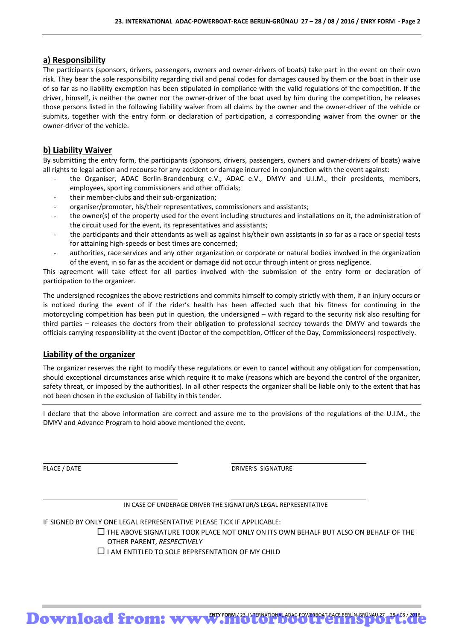#### **a) Responsibility**

The participants (sponsors, drivers, passengers, owners and owner‐drivers of boats) take part in the event on their own risk. They bear the sole responsibility regarding civil and penal codes for damages caused by them or the boat in their use of so far as no liability exemption has been stipulated in compliance with the valid regulations of the competition. If the driver, himself, is neither the owner nor the owner‐driver of the boat used by him during the competition, he releases those persons listed in the following liability waiver from all claims by the owner and the owner‐driver of the vehicle or submits, together with the entry form or declaration of participation, a corresponding waiver from the owner or the owner‐driver of the vehicle.

#### **b) Liability Waiver**

By submitting the entry form, the participants (sponsors, drivers, passengers, owners and owner‐drivers of boats) waive all rights to legal action and recourse for any accident or damage incurred in conjunction with the event against:

- the Organiser, ADAC Berlin-Brandenburg e.V., ADAC e.V., DMYV and U.I.M., their presidents, members, employees, sporting commissioners and other officials;
- ‐ their member‐clubs and their sub‐organization;
- ‐ organiser/promoter, his/their representatives, commissioners and assistants;
- the owner(s) of the property used for the event including structures and installations on it, the administration of the circuit used for the event, its representatives and assistants;
- ‐ the participants and their attendants as well as against his/their own assistants in so far as a race or special tests for attaining high‐speeds or best times are concerned;
- ‐ authorities, race services and any other organization or corporate or natural bodies involved in the organization of the event, in so far as the accident or damage did not occur through intent or gross negligence.

This agreement will take effect for all parties involved with the submission of the entry form or declaration of participation to the organizer.

The undersigned recognizes the above restrictions and commits himself to comply strictly with them, if an injury occurs or is noticed during the event of if the rider's health has been affected such that his fitness for continuing in the motorcycling competition has been put in question, the undersigned – with regard to the security risk also resulting for third parties – releases the doctors from their obligation to professional secrecy towards the DMYV and towards the officials carrying responsibility at the event (Doctor of the competition, Officer of the Day, Commissioneers) respectively.

#### **Liability of the organizer**

The organizer reserves the right to modify these regulations or even to cancel without any obligation for compensation, should exceptional circumstances arise which require it to make (reasons which are beyond the control of the organizer, safety threat, or imposed by the authorities). In all other respects the organizer shall be liable only to the extent that has not been chosen in the exclusion of liability in this tender.

I declare that the above information are correct and assure me to the provisions of the regulations of the U.I.M., the DMYV and Advance Program to hold above mentioned the event.

PLACE / DATE DRIVER'S SIGNATURE

IN CASE OF UNDERAGE DRIVER THE SIGNATUR/S LEGAL REPRESENTATIVE

<u> 1999 - Johann Harry Harry Harry Harry Harry Harry Harry Harry Harry Harry Harry Harry Harry Harry Harry Harry</u>

IF SIGNED BY ONLY ONE LEGAL REPRESENTATIVE PLEASE TICK IF APPLICABLE:

 $\Box$  THE ABOVE SIGNATURE TOOK PLACE NOT ONLY ON ITS OWN BEHALF BUT ALSO ON BEHALF OF THE OTHER PARENT, *RESPECTIVELY*

 $\Box$  I AM ENTITLED TO SOLE REPRESENTATION OF MY CHILD

<u> 1989 - Johann Harry Harry Harry Harry Harry Harry Harry Harry Harry Harry Harry Harry Harry Harry Harry Harry</u>

Download from: www.microphoeotrennsporterunesport.ada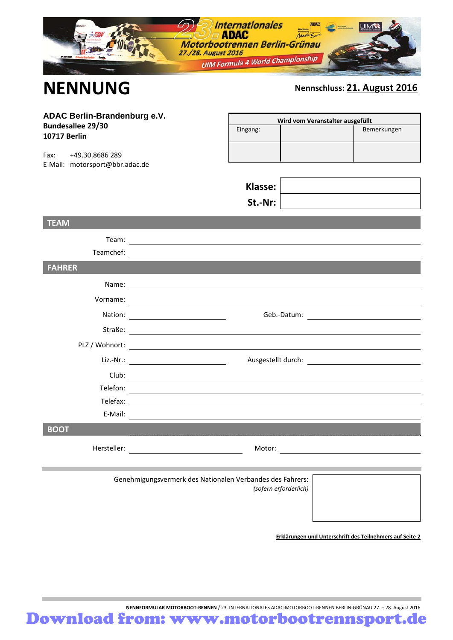|                                                                                                                                              | <b>Internationales</b><br><b>IUIM</b><br>$\Box$ ADAC<br><b>ADAC</b><br>Motorbootrennen Berlin-Grünau<br>27./28. August 2016<br><b>UIM Formula 4 World Championship</b>                                                        |
|----------------------------------------------------------------------------------------------------------------------------------------------|-------------------------------------------------------------------------------------------------------------------------------------------------------------------------------------------------------------------------------|
| <b>NENNUNG</b>                                                                                                                               | Nennschluss: 21. August 2016                                                                                                                                                                                                  |
| ADAC Berlin-Brandenburg e.V.<br><b>Bundesallee 29/30</b><br><b>10717 Berlin</b><br>+49.30.8686 289<br>Fax:<br>E-Mail: motorsport@bbr.adac.de | Wird vom Veranstalter ausgefüllt<br>Bemerkungen<br>Eingang:                                                                                                                                                                   |
|                                                                                                                                              | Klasse:<br>St.-Nr:                                                                                                                                                                                                            |
| <b>TEAM</b>                                                                                                                                  |                                                                                                                                                                                                                               |
| Team:<br>Teamchef:                                                                                                                           | <u> 1989 - Johann Stoff, deutscher Stoffen und der Stoffen und der Stoffen und der Stoffen und der Stoffen und de</u>                                                                                                         |
| <b>FAHRER</b>                                                                                                                                |                                                                                                                                                                                                                               |
|                                                                                                                                              |                                                                                                                                                                                                                               |
| Vorname:                                                                                                                                     | <u> 1980 - Johann Barbara, martxa amerikan personal (h. 1980).</u>                                                                                                                                                            |
|                                                                                                                                              |                                                                                                                                                                                                                               |
| Straße:                                                                                                                                      | <u> 1980 - Andrea Brand, amerikansk politik (</u>                                                                                                                                                                             |
| PLZ / Wohnort:                                                                                                                               |                                                                                                                                                                                                                               |
| Liz.-Nr.:                                                                                                                                    | Ausgestellt durch:<br><u> 1980 - Johann Barbara, martin a</u><br><u> 1989 - Johann Barn, mars an t-Amerikaansk politiker (</u>                                                                                                |
|                                                                                                                                              | Club:                                                                                                                                                                                                                         |
| Telefon:                                                                                                                                     |                                                                                                                                                                                                                               |
| Telefax:                                                                                                                                     | <u> 1989 - Johann Barn, fransk politik (d. 1989)</u>                                                                                                                                                                          |
| E-Mail:                                                                                                                                      |                                                                                                                                                                                                                               |
| <b>BOOT</b>                                                                                                                                  |                                                                                                                                                                                                                               |
|                                                                                                                                              | Motor: Notice and the second state of the second state of the second state of the second state of the second state of the second state of the second state of the second state of the second state of the second state of the |
|                                                                                                                                              | Genehmigungsvermerk des Nationalen Verbandes des Fahrers:<br>(sofern erforderlich)                                                                                                                                            |

**Erklärungen und Unterschrift des Teilnehmers auf Seite 2**

**NENNFORMULAR MOTORBOOT‐RENNEN** / 23. INTERNATIONALES ADAC‐MOTORBOOT‐RENNEN BERLIN‐GRÜNAU 27. – 28. August 2016 Download from: www.motorbootrennsport.de